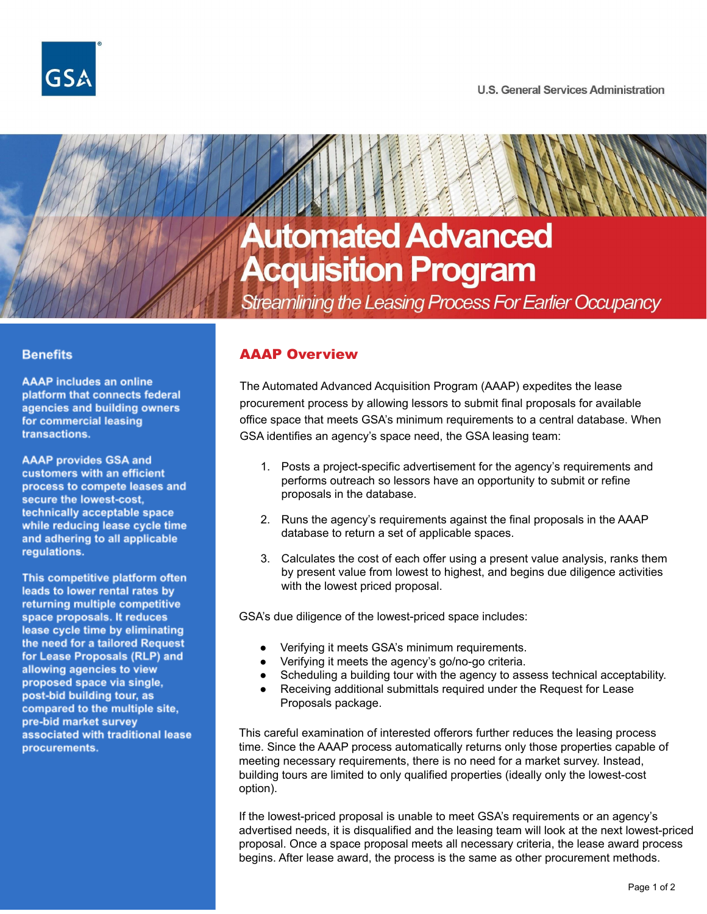

# **Automated Advanced Acquisition Program**

Streamlining the Leasing Process For Earlier Occupancy

#### **Benefits**

**AAAP** includes an online platform that connects federal agencies and building owners for commercial leasing transactions.

**AAAP provides GSA and** customers with an efficient process to compete leases and secure the lowest-cost. technically acceptable space while reducing lease cycle time and adhering to all applicable regulations.

This competitive platform often leads to lower rental rates by returning multiple competitive space proposals. It reduces lease cycle time by eliminating the need for a tailored Request for Lease Proposals (RLP) and allowing agencies to view proposed space via single, post-bid building tour, as compared to the multiple site, pre-bid market survey associated with traditional lease procurements.

## AAAP Overview

The Automated Advanced Acquisition Program (AAAP) expedites the lease procurement process by allowing lessors to submit final proposals for available office space that meets GSA's minimum requirements to a central database. When GSA identifies an agency's space need, the GSA leasing team:

- 1. Posts a project-specific advertisement for the agency's requirements and performs outreach so lessors have an opportunity to submit or refine proposals in the database.
- 2. Runs the agency's requirements against the final proposals in the AAAP database to return a set of applicable spaces.
- 3. Calculates the cost of each offer using a present value analysis, ranks them by present value from lowest to highest, and begins due diligence activities with the lowest priced proposal.

GSA's due diligence of the lowest-priced space includes:

- Verifying it meets GSA's minimum requirements.
- Verifying it meets the agency's go/no-go criteria.
- Scheduling a building tour with the agency to assess technical acceptability.
- Receiving additional submittals required under the Request for Lease Proposals package.

This careful examination of interested offerors further reduces the leasing process time. Since the AAAP process automatically returns only those properties capable of meeting necessary requirements, there is no need for a market survey. Instead, building tours are limited to only qualified properties (ideally only the lowest-cost option).

If the lowest-priced proposal is unable to meet GSA's requirements or an agency's advertised needs, it is disqualified and the leasing team will look at the next lowest-priced proposal. Once a space proposal meets all necessary criteria, the lease award process begins. After lease award, the process is the same as other procurement methods.